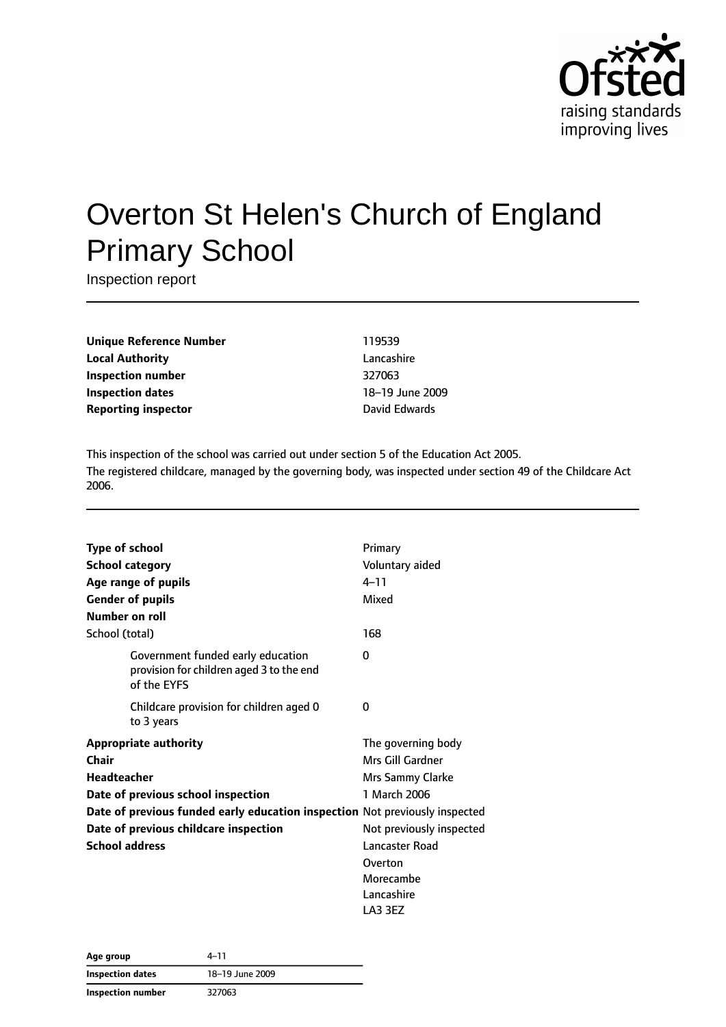

# Overton St Helen's Church of England Primary School

Inspection report

**Unique Reference Number** 119539 **Local Authority** Lancashire **Inspection number** 327063 **Inspection dates** 18–19 June 2009 **Reporting inspector Contracts Exercise Edwards** 

This inspection of the school was carried out under section 5 of the Education Act 2005. The registered childcare, managed by the governing body, was inspected under section 49 of the Childcare Act 2006.

|                    | <b>Type of school</b>                                                                        | Primary                  |
|--------------------|----------------------------------------------------------------------------------------------|--------------------------|
|                    | <b>School category</b>                                                                       | Voluntary aided          |
|                    | Age range of pupils                                                                          | $4 - 11$                 |
|                    | <b>Gender of pupils</b>                                                                      | Mixed                    |
|                    | Number on roll                                                                               |                          |
| School (total)     |                                                                                              | 168                      |
|                    | Government funded early education<br>provision for children aged 3 to the end<br>of the EYFS | 0                        |
|                    | Childcare provision for children aged 0<br>to 3 years                                        | 0                        |
|                    | <b>Appropriate authority</b>                                                                 | The governing body       |
| Chair              |                                                                                              | Mrs Gill Gardner         |
| <b>Headteacher</b> |                                                                                              | Mrs Sammy Clarke         |
|                    | Date of previous school inspection                                                           | 1 March 2006             |
|                    | Date of previous funded early education inspection Not previously inspected                  |                          |
|                    | Date of previous childcare inspection                                                        | Not previously inspected |
|                    | <b>School address</b>                                                                        | Lancaster Road           |
|                    |                                                                                              | Overton                  |
|                    |                                                                                              | Morecambe                |
|                    |                                                                                              | Lancashire               |
|                    |                                                                                              | LA3 3EZ                  |

| Age group                | 4–11            |
|--------------------------|-----------------|
| <b>Inspection dates</b>  | 18-19 June 2009 |
| <b>Inspection number</b> | 327063          |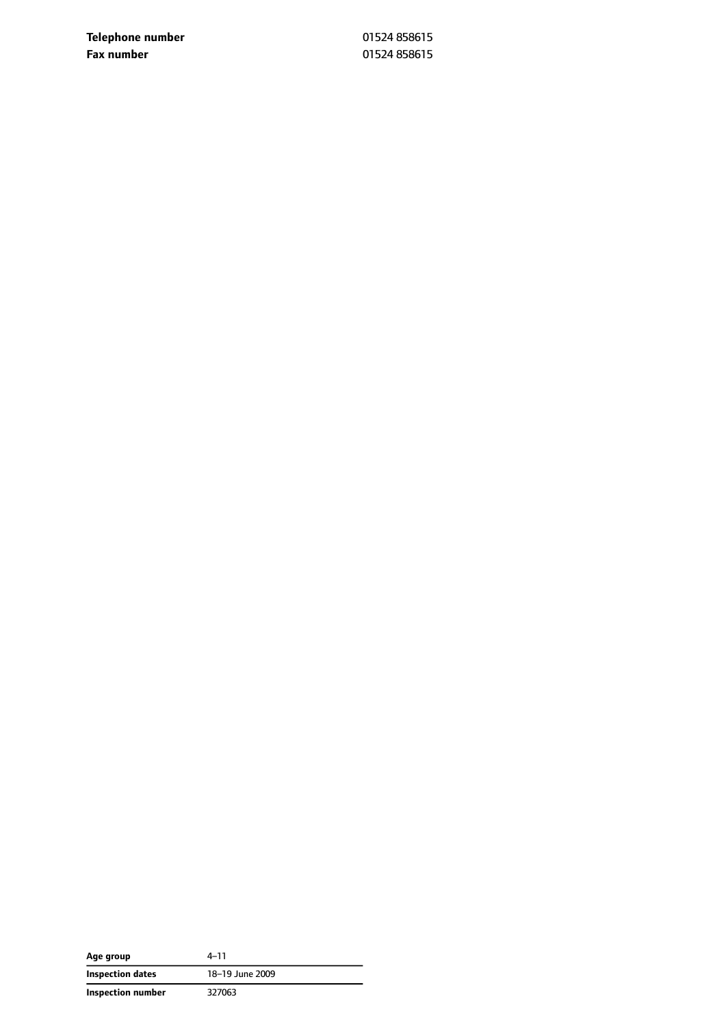**Telephone number** 01524 858615 **Fax number** 01524 858615

| Age group         | 4–11            |
|-------------------|-----------------|
| Inspection dates  | 18-19 June 2009 |
| Inspection number | 327063          |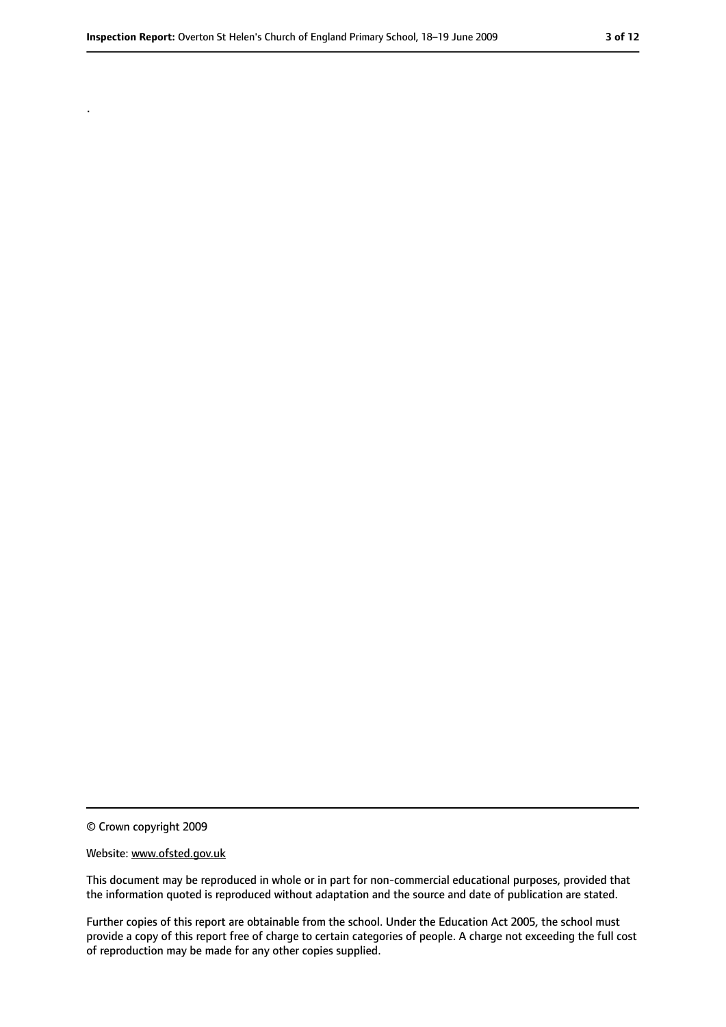.

<sup>©</sup> Crown copyright 2009

Website: www.ofsted.gov.uk

This document may be reproduced in whole or in part for non-commercial educational purposes, provided that the information quoted is reproduced without adaptation and the source and date of publication are stated.

Further copies of this report are obtainable from the school. Under the Education Act 2005, the school must provide a copy of this report free of charge to certain categories of people. A charge not exceeding the full cost of reproduction may be made for any other copies supplied.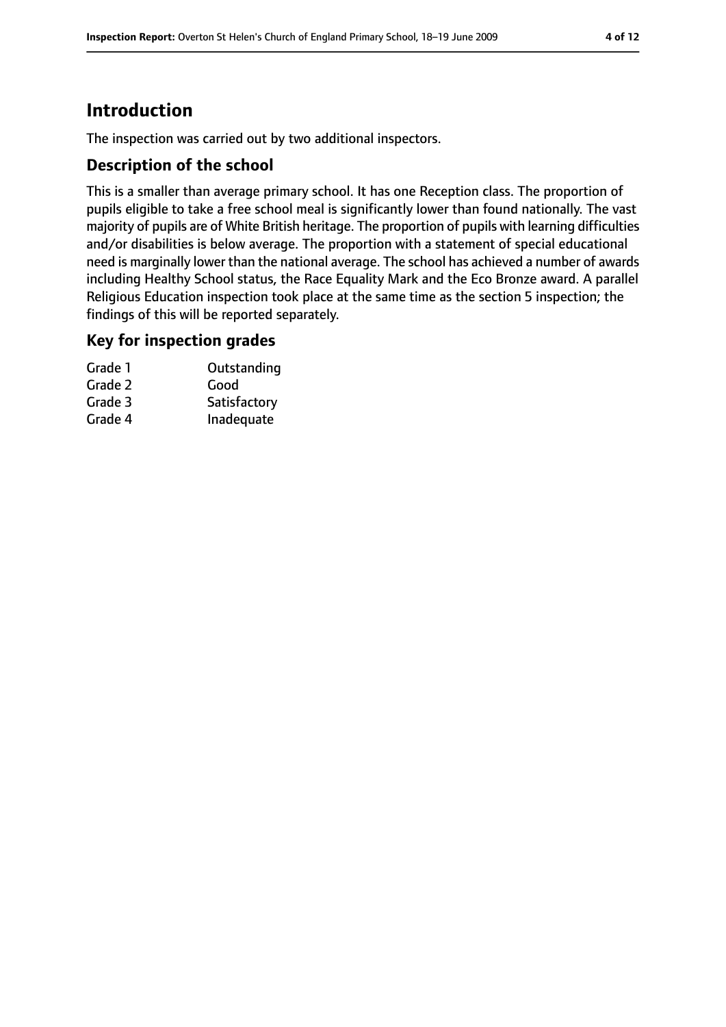# **Introduction**

The inspection was carried out by two additional inspectors.

#### **Description of the school**

This is a smaller than average primary school. It has one Reception class. The proportion of pupils eligible to take a free school meal is significantly lower than found nationally. The vast majority of pupils are of White British heritage. The proportion of pupils with learning difficulties and/or disabilities is below average. The proportion with a statement of special educational need is marginally lower than the national average. The school has achieved a number of awards including Healthy School status, the Race Equality Mark and the Eco Bronze award. A parallel Religious Education inspection took place at the same time as the section 5 inspection; the findings of this will be reported separately.

#### **Key for inspection grades**

| Grade 1 | Outstanding  |
|---------|--------------|
| Grade 2 | Good         |
| Grade 3 | Satisfactory |
| Grade 4 | Inadequate   |
|         |              |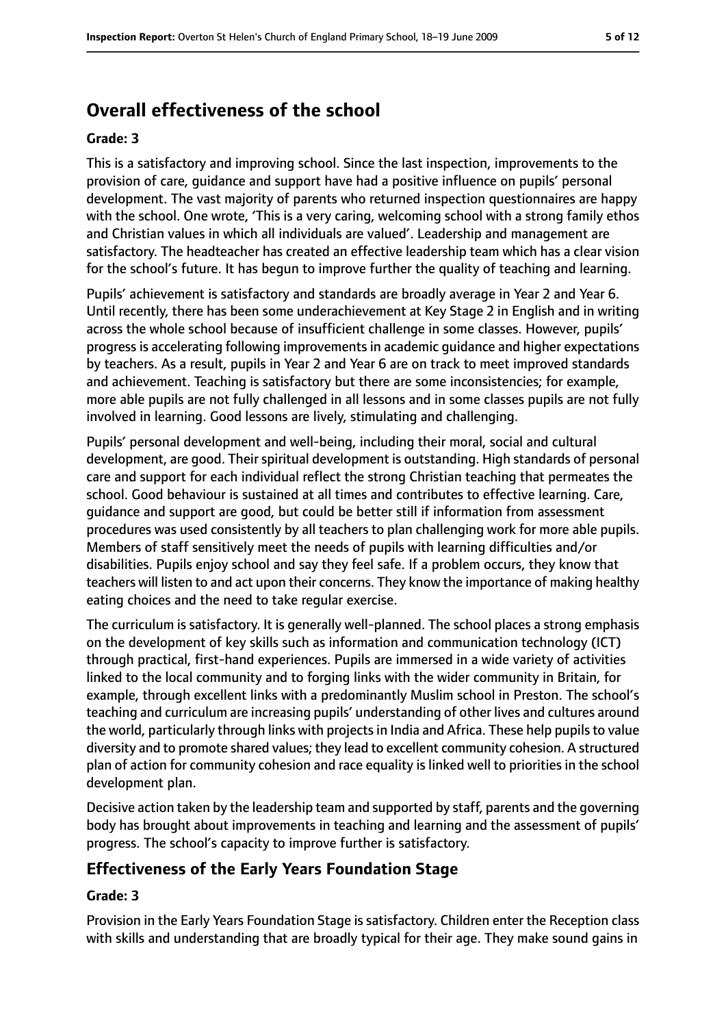# **Overall effectiveness of the school**

#### **Grade: 3**

This is a satisfactory and improving school. Since the last inspection, improvements to the provision of care, guidance and support have had a positive influence on pupils' personal development. The vast majority of parents who returned inspection questionnaires are happy with the school. One wrote, 'This is a very caring, welcoming school with a strong family ethos and Christian values in which all individuals are valued'. Leadership and management are satisfactory. The headteacher has created an effective leadership team which has a clear vision for the school's future. It has begun to improve further the quality of teaching and learning.

Pupils' achievement is satisfactory and standards are broadly average in Year 2 and Year 6. Until recently, there has been some underachievement at Key Stage 2 in English and in writing across the whole school because of insufficient challenge in some classes. However, pupils' progress is accelerating following improvements in academic guidance and higher expectations by teachers. As a result, pupils in Year 2 and Year 6 are on track to meet improved standards and achievement. Teaching is satisfactory but there are some inconsistencies; for example, more able pupils are not fully challenged in all lessons and in some classes pupils are not fully involved in learning. Good lessons are lively, stimulating and challenging.

Pupils' personal development and well-being, including their moral, social and cultural development, are good. Their spiritual development is outstanding. High standards of personal care and support for each individual reflect the strong Christian teaching that permeates the school. Good behaviour is sustained at all times and contributes to effective learning. Care, guidance and support are good, but could be better still if information from assessment procedures was used consistently by all teachers to plan challenging work for more able pupils. Members of staff sensitively meet the needs of pupils with learning difficulties and/or disabilities. Pupils enjoy school and say they feel safe. If a problem occurs, they know that teachers will listen to and act upon their concerns. They know the importance of making healthy eating choices and the need to take regular exercise.

The curriculum is satisfactory. It is generally well-planned. The school places a strong emphasis on the development of key skills such as information and communication technology (ICT) through practical, first-hand experiences. Pupils are immersed in a wide variety of activities linked to the local community and to forging links with the wider community in Britain, for example, through excellent links with a predominantly Muslim school in Preston. The school's teaching and curriculum are increasing pupils' understanding of other lives and cultures around the world, particularly through links with projectsin India and Africa. These help pupilsto value diversity and to promote shared values; they lead to excellent community cohesion. A structured plan of action for community cohesion and race equality is linked well to priorities in the school development plan.

Decisive action taken by the leadership team and supported by staff, parents and the governing body has brought about improvements in teaching and learning and the assessment of pupils' progress. The school's capacity to improve further is satisfactory.

## **Effectiveness of the Early Years Foundation Stage**

#### **Grade: 3**

Provision in the Early Years Foundation Stage is satisfactory. Children enter the Reception class with skills and understanding that are broadly typical for their age. They make sound gains in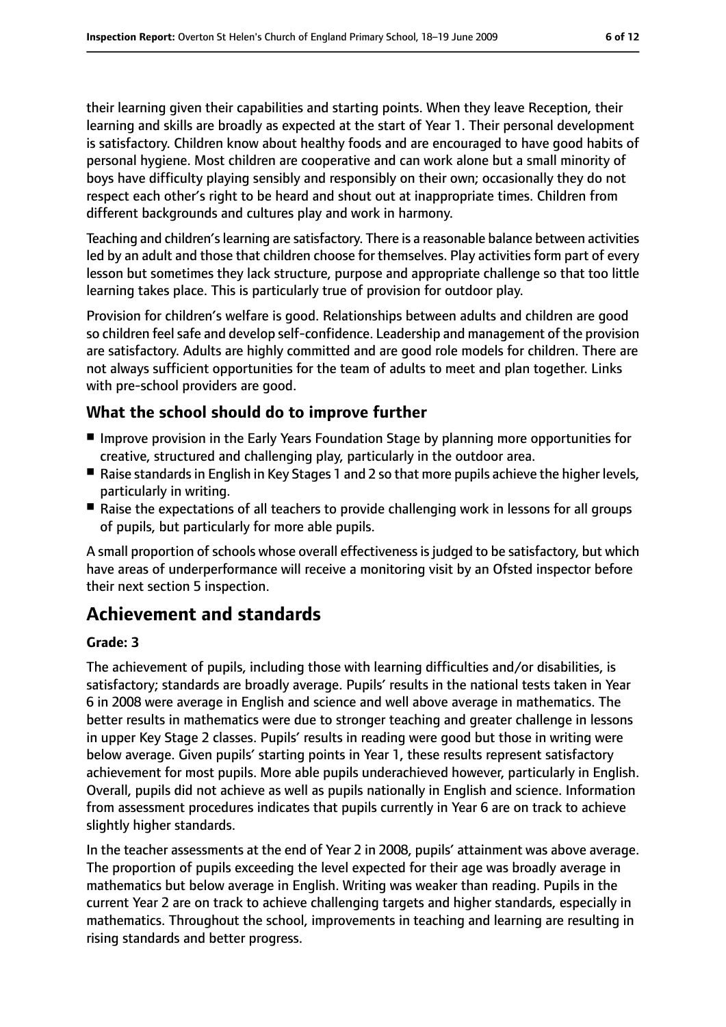their learning given their capabilities and starting points. When they leave Reception, their learning and skills are broadly as expected at the start of Year 1. Their personal development is satisfactory. Children know about healthy foods and are encouraged to have good habits of personal hygiene. Most children are cooperative and can work alone but a small minority of boys have difficulty playing sensibly and responsibly on their own; occasionally they do not respect each other's right to be heard and shout out at inappropriate times. Children from different backgrounds and cultures play and work in harmony.

Teaching and children'slearning are satisfactory. There is a reasonable balance between activities led by an adult and those that children choose for themselves. Play activities form part of every lesson but sometimes they lack structure, purpose and appropriate challenge so that too little learning takes place. This is particularly true of provision for outdoor play.

Provision for children's welfare is good. Relationships between adults and children are good so children feel safe and develop self-confidence. Leadership and management of the provision are satisfactory. Adults are highly committed and are good role models for children. There are not always sufficient opportunities for the team of adults to meet and plan together. Links with pre-school providers are good.

#### **What the school should do to improve further**

- Improve provision in the Early Years Foundation Stage by planning more opportunities for creative, structured and challenging play, particularly in the outdoor area.
- Raise standards in English in Key Stages 1 and 2 so that more pupils achieve the higher levels, particularly in writing.
- Raise the expectations of all teachers to provide challenging work in lessons for all groups of pupils, but particularly for more able pupils.

A small proportion of schools whose overall effectiveness is judged to be satisfactory, but which have areas of underperformance will receive a monitoring visit by an Ofsted inspector before their next section 5 inspection.

# **Achievement and standards**

#### **Grade: 3**

The achievement of pupils, including those with learning difficulties and/or disabilities, is satisfactory; standards are broadly average. Pupils' results in the national tests taken in Year 6 in 2008 were average in English and science and well above average in mathematics. The better results in mathematics were due to stronger teaching and greater challenge in lessons in upper Key Stage 2 classes. Pupils' results in reading were good but those in writing were below average. Given pupils' starting points in Year 1, these results represent satisfactory achievement for most pupils. More able pupils underachieved however, particularly in English. Overall, pupils did not achieve as well as pupils nationally in English and science. Information from assessment procedures indicates that pupils currently in Year 6 are on track to achieve slightly higher standards.

In the teacher assessments at the end of Year 2 in 2008, pupils' attainment was above average. The proportion of pupils exceeding the level expected for their age was broadly average in mathematics but below average in English. Writing was weaker than reading. Pupils in the current Year 2 are on track to achieve challenging targets and higher standards, especially in mathematics. Throughout the school, improvements in teaching and learning are resulting in rising standards and better progress.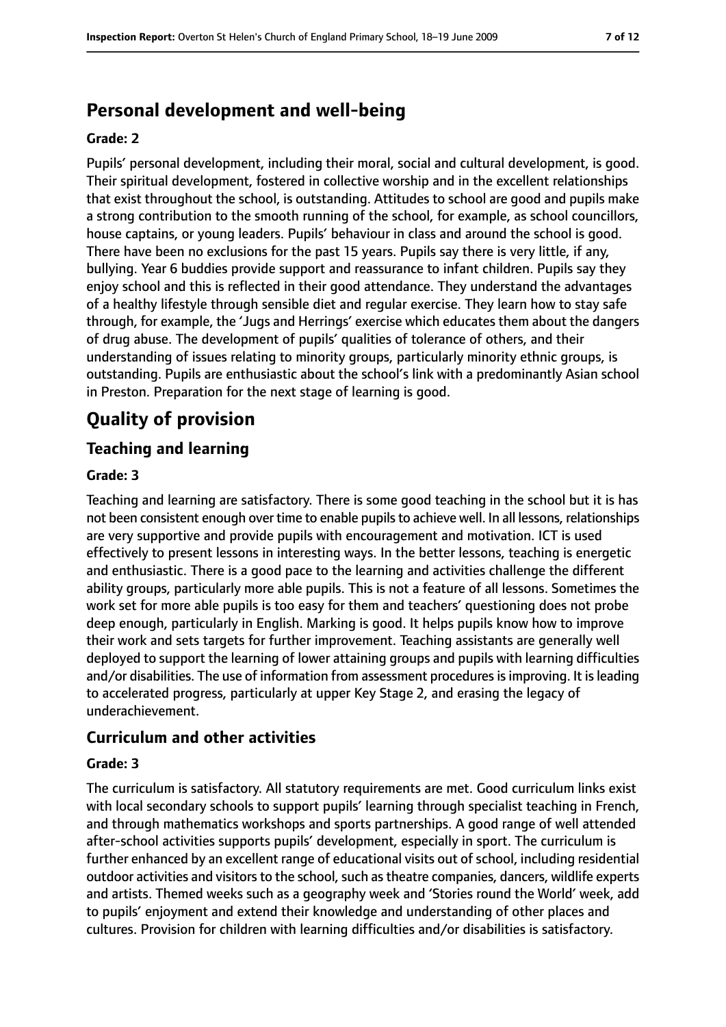# **Personal development and well-being**

#### **Grade: 2**

Pupils' personal development, including their moral, social and cultural development, is good. Their spiritual development, fostered in collective worship and in the excellent relationships that exist throughout the school, is outstanding. Attitudes to school are good and pupils make a strong contribution to the smooth running of the school, for example, as school councillors, house captains, or young leaders. Pupils' behaviour in class and around the school is good. There have been no exclusions for the past 15 years. Pupils say there is very little, if any, bullying. Year 6 buddies provide support and reassurance to infant children. Pupils say they enjoy school and this is reflected in their good attendance. They understand the advantages of a healthy lifestyle through sensible diet and regular exercise. They learn how to stay safe through, for example, the 'Jugs and Herrings' exercise which educates them about the dangers of drug abuse. The development of pupils' qualities of tolerance of others, and their understanding of issues relating to minority groups, particularly minority ethnic groups, is outstanding. Pupils are enthusiastic about the school's link with a predominantly Asian school in Preston. Preparation for the next stage of learning is good.

# **Quality of provision**

## **Teaching and learning**

#### **Grade: 3**

Teaching and learning are satisfactory. There is some good teaching in the school but it is has not been consistent enough over time to enable pupilsto achieve well. In all lessons, relationships are very supportive and provide pupils with encouragement and motivation. ICT is used effectively to present lessons in interesting ways. In the better lessons, teaching is energetic and enthusiastic. There is a good pace to the learning and activities challenge the different ability groups, particularly more able pupils. This is not a feature of all lessons. Sometimes the work set for more able pupils is too easy for them and teachers' questioning does not probe deep enough, particularly in English. Marking is good. It helps pupils know how to improve their work and sets targets for further improvement. Teaching assistants are generally well deployed to support the learning of lower attaining groups and pupils with learning difficulties and/or disabilities. The use of information from assessment procedures is improving. It is leading to accelerated progress, particularly at upper Key Stage 2, and erasing the legacy of underachievement.

#### **Curriculum and other activities**

#### **Grade: 3**

The curriculum is satisfactory. All statutory requirements are met. Good curriculum links exist with local secondary schools to support pupils' learning through specialist teaching in French, and through mathematics workshops and sports partnerships. A good range of well attended after-school activities supports pupils' development, especially in sport. The curriculum is further enhanced by an excellent range of educational visits out of school, including residential outdoor activities and visitors to the school, such as theatre companies, dancers, wildlife experts and artists. Themed weeks such as a geography week and 'Stories round the World' week, add to pupils' enjoyment and extend their knowledge and understanding of other places and cultures. Provision for children with learning difficulties and/or disabilities is satisfactory.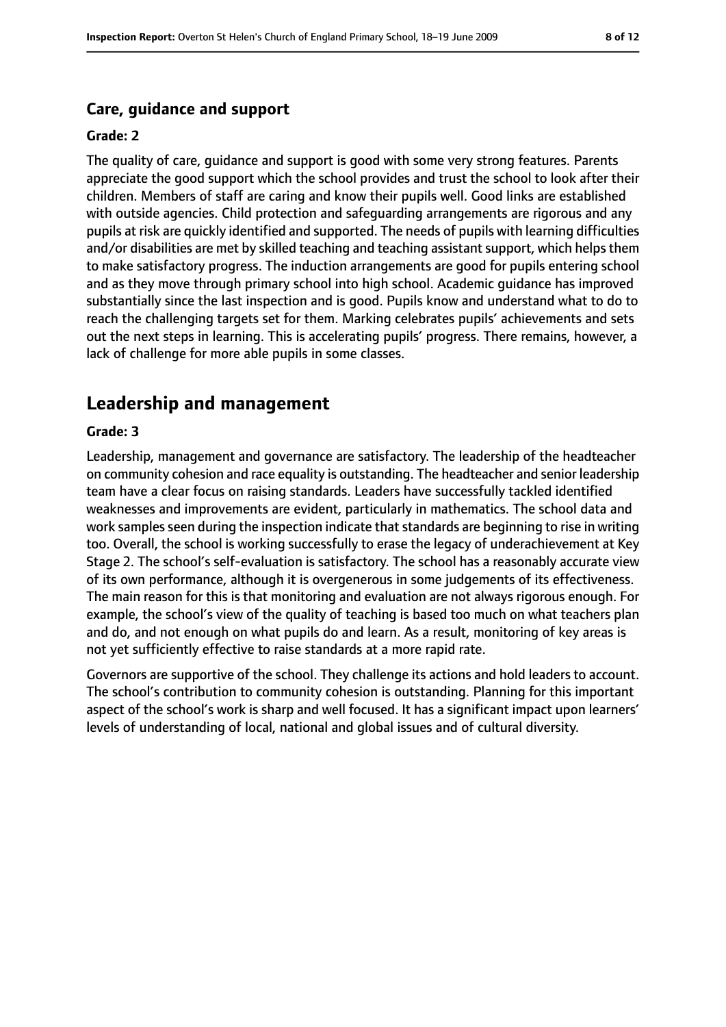## **Care, guidance and support**

#### **Grade: 2**

The quality of care, guidance and support is good with some very strong features. Parents appreciate the good support which the school provides and trust the school to look after their children. Members of staff are caring and know their pupils well. Good links are established with outside agencies. Child protection and safeguarding arrangements are rigorous and any pupils at risk are quickly identified and supported. The needs of pupils with learning difficulties and/or disabilities are met by skilled teaching and teaching assistant support, which helps them to make satisfactory progress. The induction arrangements are good for pupils entering school and as they move through primary school into high school. Academic guidance has improved substantially since the last inspection and is good. Pupils know and understand what to do to reach the challenging targets set for them. Marking celebrates pupils' achievements and sets out the next steps in learning. This is accelerating pupils' progress. There remains, however, a lack of challenge for more able pupils in some classes.

# **Leadership and management**

#### **Grade: 3**

Leadership, management and governance are satisfactory. The leadership of the headteacher on community cohesion and race equality is outstanding. The headteacher and senior leadership team have a clear focus on raising standards. Leaders have successfully tackled identified weaknesses and improvements are evident, particularly in mathematics. The school data and work samples seen during the inspection indicate that standards are beginning to rise in writing too. Overall, the school is working successfully to erase the legacy of underachievement at Key Stage 2. The school's self-evaluation is satisfactory. The school has a reasonably accurate view of its own performance, although it is overgenerous in some judgements of its effectiveness. The main reason for this is that monitoring and evaluation are not always rigorous enough. For example, the school's view of the quality of teaching is based too much on what teachers plan and do, and not enough on what pupils do and learn. As a result, monitoring of key areas is not yet sufficiently effective to raise standards at a more rapid rate.

Governors are supportive of the school. They challenge its actions and hold leaders to account. The school's contribution to community cohesion is outstanding. Planning for this important aspect of the school's work is sharp and well focused. It has a significant impact upon learners' levels of understanding of local, national and global issues and of cultural diversity.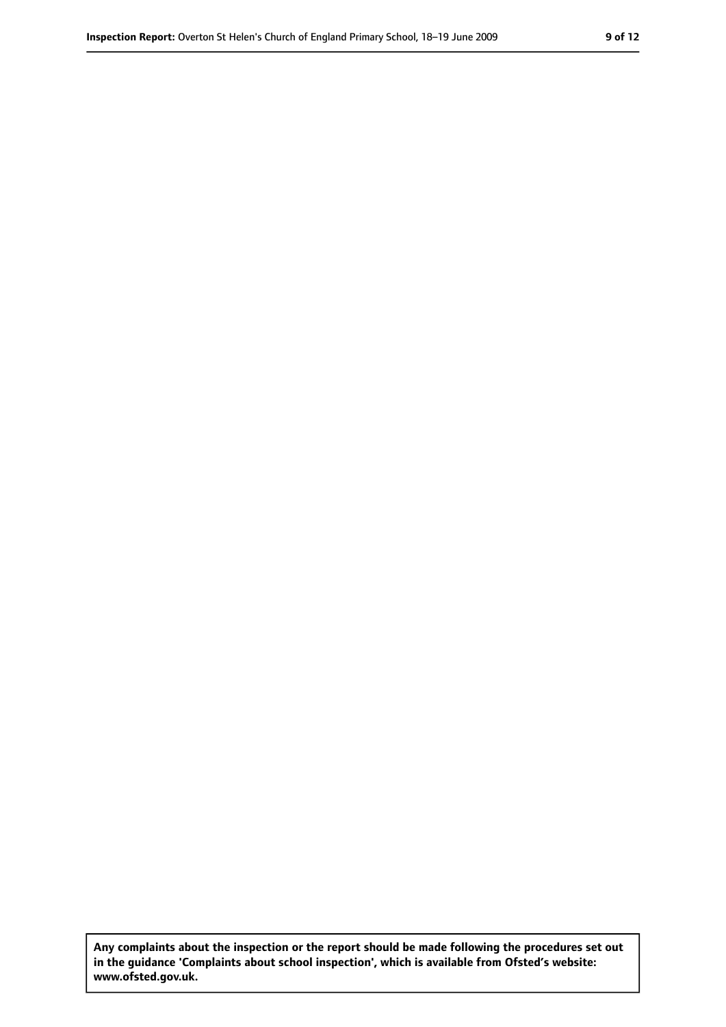**Any complaints about the inspection or the report should be made following the procedures set out in the guidance 'Complaints about school inspection', which is available from Ofsted's website: www.ofsted.gov.uk.**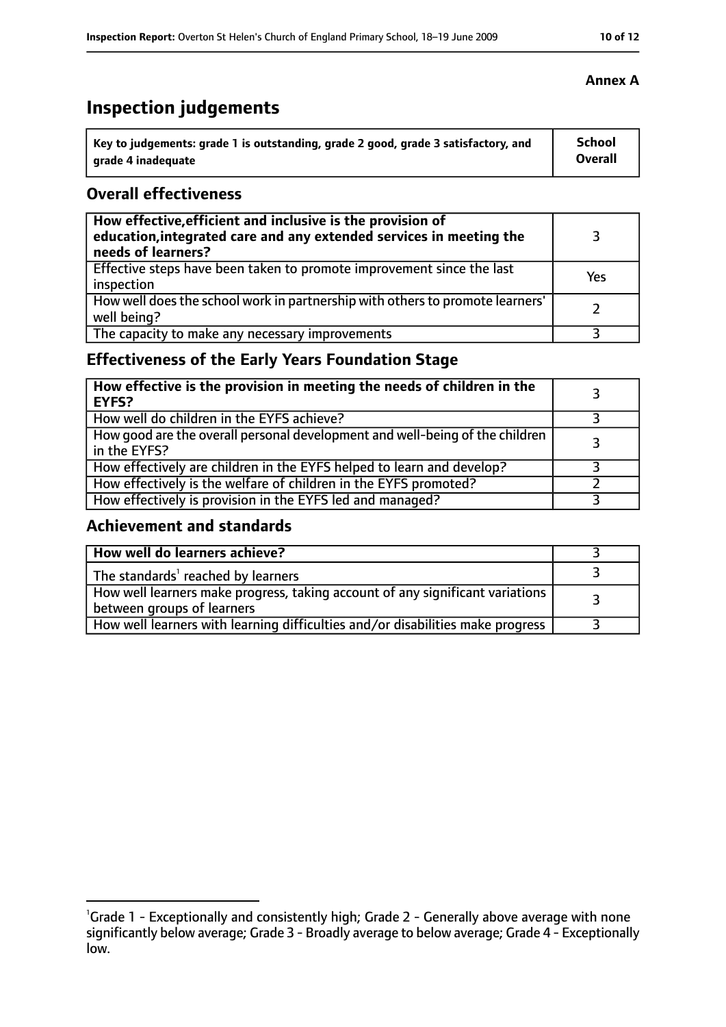# **Inspection judgements**

| key to judgements: grade 1 is outstanding, grade 2 good, grade 3 satisfactory, and ا | School         |
|--------------------------------------------------------------------------------------|----------------|
| arade 4 inadequate                                                                   | <b>Overall</b> |

#### **Overall effectiveness**

| How effective, efficient and inclusive is the provision of<br>education, integrated care and any extended services in meeting the<br>needs of learners? |     |
|---------------------------------------------------------------------------------------------------------------------------------------------------------|-----|
| Effective steps have been taken to promote improvement since the last<br>inspection                                                                     | Yes |
| How well does the school work in partnership with others to promote learners'<br>well being?                                                            |     |
| The capacity to make any necessary improvements                                                                                                         |     |

# **Effectiveness of the Early Years Foundation Stage**

| How effective is the provision in meeting the needs of children in the<br><b>EYFS?</b>       |  |
|----------------------------------------------------------------------------------------------|--|
| How well do children in the EYFS achieve?                                                    |  |
| How good are the overall personal development and well-being of the children<br>in the EYFS? |  |
| How effectively are children in the EYFS helped to learn and develop?                        |  |
| How effectively is the welfare of children in the EYFS promoted?                             |  |
| How effectively is provision in the EYFS led and managed?                                    |  |

## **Achievement and standards**

| How well do learners achieve?                                                                               |  |
|-------------------------------------------------------------------------------------------------------------|--|
| The standards <sup>1</sup> reached by learners                                                              |  |
| How well learners make progress, taking account of any significant variations<br>between groups of learners |  |
| How well learners with learning difficulties and/or disabilities make progress                              |  |

## **Annex A**

<sup>&</sup>lt;sup>1</sup>Grade 1 - Exceptionally and consistently high; Grade 2 - Generally above average with none significantly below average; Grade 3 - Broadly average to below average; Grade 4 - Exceptionally

low.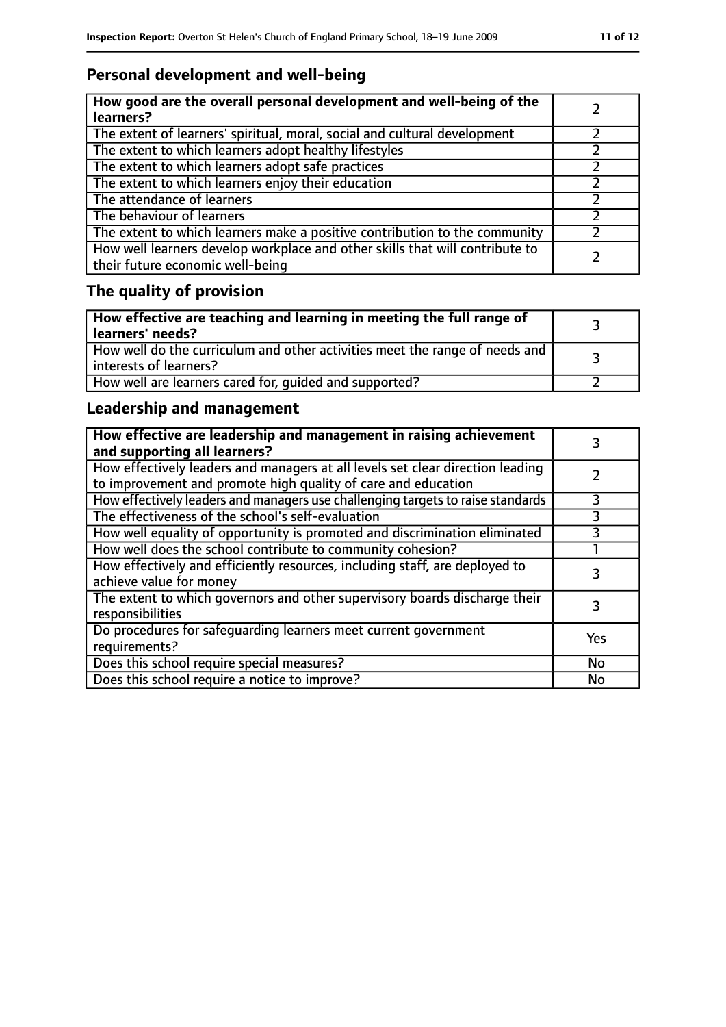# **Personal development and well-being**

| How good are the overall personal development and well-being of the<br>learners?                                 |  |
|------------------------------------------------------------------------------------------------------------------|--|
| The extent of learners' spiritual, moral, social and cultural development                                        |  |
| The extent to which learners adopt healthy lifestyles                                                            |  |
| The extent to which learners adopt safe practices                                                                |  |
| The extent to which learners enjoy their education                                                               |  |
| The attendance of learners                                                                                       |  |
| The behaviour of learners                                                                                        |  |
| The extent to which learners make a positive contribution to the community                                       |  |
| How well learners develop workplace and other skills that will contribute to<br>their future economic well-being |  |

# **The quality of provision**

| $\mid$ How effective are teaching and learning in meeting the full range of<br>  learners' needs?       |  |
|---------------------------------------------------------------------------------------------------------|--|
| How well do the curriculum and other activities meet the range of needs and<br>  interests of learners? |  |
| How well are learners cared for, quided and supported?                                                  |  |

# **Leadership and management**

| How effective are leadership and management in raising achievement<br>and supporting all learners?                                              |     |
|-------------------------------------------------------------------------------------------------------------------------------------------------|-----|
| How effectively leaders and managers at all levels set clear direction leading<br>to improvement and promote high quality of care and education |     |
| How effectively leaders and managers use challenging targets to raise standards                                                                 | 3   |
| The effectiveness of the school's self-evaluation                                                                                               | 3   |
| How well equality of opportunity is promoted and discrimination eliminated                                                                      |     |
| How well does the school contribute to community cohesion?                                                                                      |     |
| How effectively and efficiently resources, including staff, are deployed to<br>achieve value for money                                          | 3   |
| The extent to which governors and other supervisory boards discharge their<br>responsibilities                                                  |     |
| Do procedures for safeguarding learners meet current government<br>requirements?                                                                | Yes |
| Does this school require special measures?                                                                                                      | No  |
| Does this school require a notice to improve?                                                                                                   | No  |